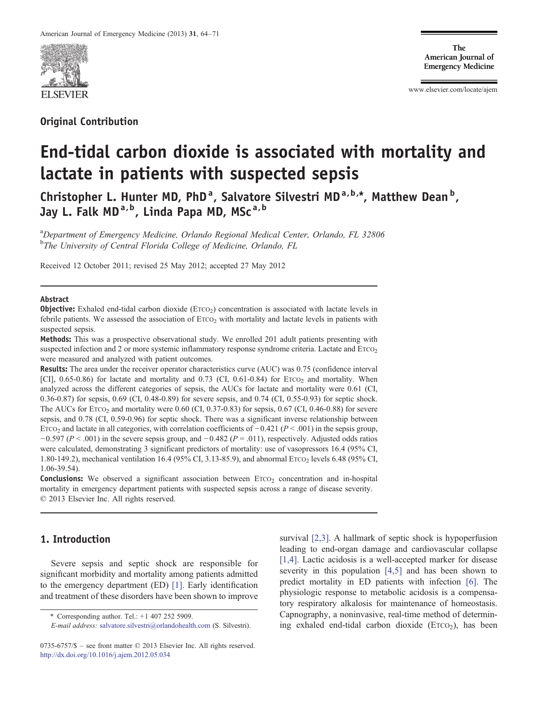

# Original Contribution

www.elsevier.com/locate/ajem

# End-tidal carbon dioxide is associated with mortality and lactate in patients with suspected sepsis

Christopher L. Hunter MD, PhD<sup>a</sup>, Salvatore Silvestri MD<sup>a,b,\*</sup>, Matthew Dean<sup>b</sup>, Jay L. Falk MD<sup>a,b</sup>, Linda Papa MD, MSc<sup>a,b</sup>

<sup>a</sup>Department of Emergency Medicine, Orlando Regional Medical Center, Orlando, FL 32806 <sup>b</sup>The University of Central Florida College of Medicine, Orlando, FL

Received 12 October 2011; revised 25 May 2012; accepted 27 May 2012

### Abstract

**Objective:** Exhaled end-tidal carbon dioxide  $(ETCO<sub>2</sub>)$  concentration is associated with lactate levels in febrile patients. We assessed the association of  $ETCO<sub>2</sub>$  with mortality and lactate levels in patients with suspected sepsis.

Methods: This was a prospective observational study. We enrolled 201 adult patients presenting with suspected infection and 2 or more systemic inflammatory response syndrome criteria. Lactate and ETCO<sub>2</sub> were measured and analyzed with patient outcomes.

Results: The area under the receiver operator characteristics curve (AUC) was 0.75 (confidence interval [CI],  $0.65-0.86$ ) for lactate and mortality and  $0.73$  (CI,  $0.61-0.84$ ) for  $ETCO<sub>2</sub>$  and mortality. When analyzed across the different categories of sepsis, the AUCs for lactate and mortality were 0.61 (CI, 0.36-0.87) for sepsis, 0.69 (CI, 0.48-0.89) for severe sepsis, and 0.74 (CI, 0.55-0.93) for septic shock. The AUCs for  $E_{TCO_2}$  and mortality were 0.60 (CI, 0.37-0.83) for sepsis, 0.67 (CI, 0.46-0.88) for severe sepsis, and 0.78 (CI, 0.59-0.96) for septic shock. There was a significant inverse relationship between ETCO<sub>2</sub> and lactate in all categories, with correlation coefficients of  $-0.421$  ( $P < .001$ ) in the sepsis group,  $-0.597$  (P < .001) in the severe sepsis group, and  $-0.482$  (P = .011), respectively. Adjusted odds ratios were calculated, demonstrating 3 significant predictors of mortality: use of vasopressors 16.4 (95% CI, 1.80-149.2), mechanical ventilation 16.4 (95% CI, 3.13-85.9), and abnormal ETCO<sub>2</sub> levels 6.48 (95% CI, 1.06-39.54).

**Conclusions:** We observed a significant association between  $ETCO<sub>2</sub>$  concentration and in-hospital mortality in emergency department patients with suspected sepsis across a range of disease severity. © 2013 Elsevier Inc. All rights reserved.

# 1. Introduction

Severe sepsis and septic shock are responsible for significant morbidity and mortality among patients admitted to the emergency department (ED) [\[1\]](#page-6-0). Early identification and treatment of these disorders have been shown to improve

survival [\[2,3\].](#page-6-0) A hallmark of septic shock is hypoperfusion leading to end-organ damage and cardiovascular collapse [\[1,4\].](#page-6-0) Lactic acidosis is a well-accepted marker for disease severity in this population [\[4,5\]](#page-6-0) and has been shown to predict mortality in ED patients with infection [\[6\].](#page-6-0) The physiologic response to metabolic acidosis is a compensatory respiratory alkalosis for maintenance of homeostasis. Capnography, a noninvasive, real-time method of determining exhaled end-tidal carbon dioxide  $(ETCO<sub>2</sub>)$ , has been

<sup>⁎</sup> Corresponding author. Tel.: +1 407 252 5909.

E-mail address: [salvatore.silvestri@orlandohealth.com](mailto:salvatore.silvestri@orlandohealth.com) (S. Silvestri).

<sup>0735-6757/\$</sup> – see front matter © 2013 Elsevier Inc. All rights reserved. <http://dx.doi.org/10.1016/j.ajem.2012.05.034>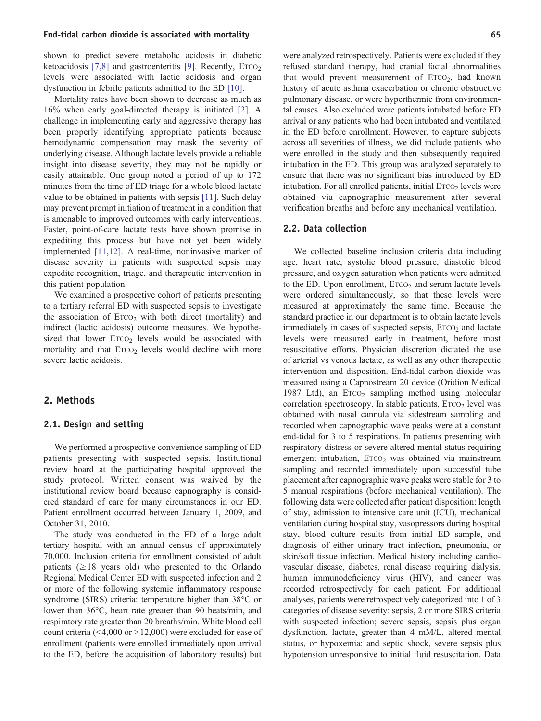shown to predict severe metabolic acidosis in diabetic ketoacidosis  $[7,8]$  and gastroenteritis  $[9]$ . Recently, ETCO<sub>2</sub> levels were associated with lactic acidosis and organ dysfunction in febrile patients admitted to the ED [\[10\]](#page-6-0).

Mortality rates have been shown to decrease as much as 16% when early goal-directed therapy is initiated [\[2\]](#page-6-0). A challenge in implementing early and aggressive therapy has been properly identifying appropriate patients because hemodynamic compensation may mask the severity of underlying disease. Although lactate levels provide a reliable insight into disease severity, they may not be rapidly or easily attainable. One group noted a period of up to 172 minutes from the time of ED triage for a whole blood lactate value to be obtained in patients with sepsis [\[11\].](#page-7-0) Such delay may prevent prompt initiation of treatment in a condition that is amenable to improved outcomes with early interventions. Faster, point-of-care lactate tests have shown promise in expediting this process but have not yet been widely implemented [\[11,12\].](#page-7-0) A real-time, noninvasive marker of disease severity in patients with suspected sepsis may expedite recognition, triage, and therapeutic intervention in this patient population.

We examined a prospective cohort of patients presenting to a tertiary referral ED with suspected sepsis to investigate the association of  $ETCO<sub>2</sub>$  with both direct (mortality) and indirect (lactic acidosis) outcome measures. We hypothesized that lower  $E_{TCO_2}$  levels would be associated with mortality and that  $ETCO<sub>2</sub>$  levels would decline with more severe lactic acidosis.

## 2. Methods

#### 2.1. Design and setting

We performed a prospective convenience sampling of ED patients presenting with suspected sepsis. Institutional review board at the participating hospital approved the study protocol. Written consent was waived by the institutional review board because capnography is considered standard of care for many circumstances in our ED. Patient enrollment occurred between January 1, 2009, and October 31, 2010.

The study was conducted in the ED of a large adult tertiary hospital with an annual census of approximately 70,000. Inclusion criteria for enrollment consisted of adult patients ( $\geq$ 18 years old) who presented to the Orlando Regional Medical Center ED with suspected infection and 2 or more of the following systemic inflammatory response syndrome (SIRS) criteria: temperature higher than 38°C or lower than 36°C, heart rate greater than 90 beats/min, and respiratory rate greater than 20 breaths/min. White blood cell count criteria ( $\leq 4,000$  or  $\geq 12,000$ ) were excluded for ease of enrollment (patients were enrolled immediately upon arrival to the ED, before the acquisition of laboratory results) but were analyzed retrospectively. Patients were excluded if they refused standard therapy, had cranial facial abnormalities that would prevent measurement of  $E_{TCO<sub>2</sub>}$ , had known history of acute asthma exacerbation or chronic obstructive pulmonary disease, or were hyperthermic from environmental causes. Also excluded were patients intubated before ED arrival or any patients who had been intubated and ventilated in the ED before enrollment. However, to capture subjects across all severities of illness, we did include patients who were enrolled in the study and then subsequently required intubation in the ED. This group was analyzed separately to ensure that there was no significant bias introduced by ED intubation. For all enrolled patients, initial  $ETCO<sub>2</sub>$  levels were obtained via capnographic measurement after several verification breaths and before any mechanical ventilation.

#### 2.2. Data collection

We collected baseline inclusion criteria data including age, heart rate, systolic blood pressure, diastolic blood pressure, and oxygen saturation when patients were admitted to the ED. Upon enrollment,  $ETCO<sub>2</sub>$  and serum lactate levels were ordered simultaneously, so that these levels were measured at approximately the same time. Because the standard practice in our department is to obtain lactate levels immediately in cases of suspected sepsis,  $ETCO<sub>2</sub>$  and lactate levels were measured early in treatment, before most resuscitative efforts. Physician discretion dictated the use of arterial vs venous lactate, as well as any other therapeutic intervention and disposition. End-tidal carbon dioxide was measured using a Capnostream 20 device (Oridion Medical 1987 Ltd), an  $E<sub>T</sub>CO<sub>2</sub>$  sampling method using molecular correlation spectroscopy. In stable patients,  $E_{TCO<sub>2</sub>}$  level was obtained with nasal cannula via sidestream sampling and recorded when capnographic wave peaks were at a constant end-tidal for 3 to 5 respirations. In patients presenting with respiratory distress or severe altered mental status requiring emergent intubation,  $E_{TCO_2}$  was obtained via mainstream sampling and recorded immediately upon successful tube placement after capnographic wave peaks were stable for 3 to 5 manual respirations (before mechanical ventilation). The following data were collected after patient disposition: length of stay, admission to intensive care unit (ICU), mechanical ventilation during hospital stay, vasopressors during hospital stay, blood culture results from initial ED sample, and diagnosis of either urinary tract infection, pneumonia, or skin/soft tissue infection. Medical history including cardiovascular disease, diabetes, renal disease requiring dialysis, human immunodeficiency virus (HIV), and cancer was recorded retrospectively for each patient. For additional analyses, patients were retrospectively categorized into 1 of 3 categories of disease severity: sepsis, 2 or more SIRS criteria with suspected infection; severe sepsis, sepsis plus organ dysfunction, lactate, greater than 4 mM/L, altered mental status, or hypoxemia; and septic shock, severe sepsis plus hypotension unresponsive to initial fluid resuscitation. Data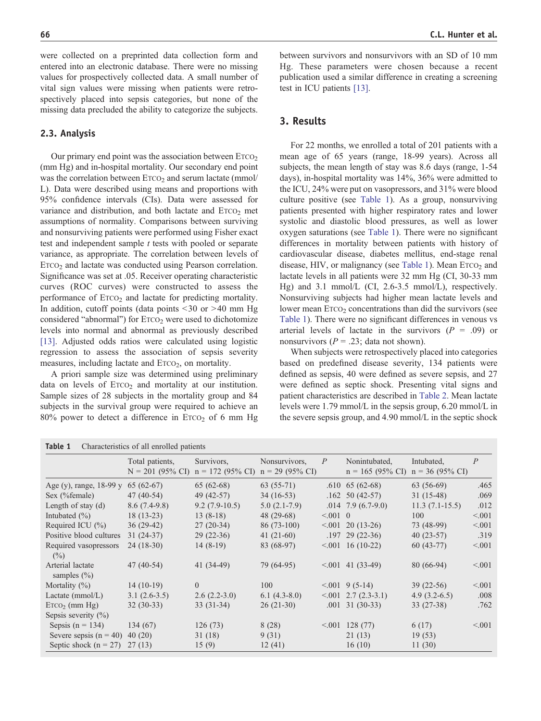were collected on a preprinted data collection form and entered into an electronic database. There were no missing values for prospectively collected data. A small number of vital sign values were missing when patients were retrospectively placed into sepsis categories, but none of the missing data precluded the ability to categorize the subjects.

#### 2.3. Analysis

Our primary end point was the association between  $E_{TCO<sub>2</sub>}$ (mm Hg) and in-hospital mortality. Our secondary end point was the correlation between ETCO<sub>2</sub> and serum lactate (mmol/ L). Data were described using means and proportions with 95% confidence intervals (CIs). Data were assessed for variance and distribution, and both lactate and  $ETCO<sub>2</sub>$  met assumptions of normality. Comparisons between surviving and nonsurviving patients were performed using Fisher exact test and independent sample  $t$  tests with pooled or separate variance, as appropriate. The correlation between levels of ETCO2 and lactate was conducted using Pearson correlation. Significance was set at .05. Receiver operating characteristic curves (ROC curves) were constructed to assess the performance of  $E_{TCO<sub>2</sub>}$  and lactate for predicting mortality. In addition, cutoff points (data points  $\leq 30$  or  $> 40$  mm Hg considered "abnormal") for  $E<sub>TCO<sub>2</sub></sub>$  were used to dichotomize levels into normal and abnormal as previously described [\[13\]](#page-7-0). Adjusted odds ratios were calculated using logistic regression to assess the association of sepsis severity measures, including lactate and ETCO<sub>2</sub>, on mortality.

A priori sample size was determined using preliminary data on levels of  $ETCO<sub>2</sub>$  and mortality at our institution. Sample sizes of 28 subjects in the mortality group and 84 subjects in the survival group were required to achieve an 80% power to detect a difference in  $E_{T}$  and  $E_{T}$  of 6 mm Hg between survivors and nonsurvivors with an SD of 10 mm Hg. These parameters were chosen because a recent publication used a similar difference in creating a screening test in ICU patients [\[13\]](#page-7-0).

## 3. Results

For 22 months, we enrolled a total of 201 patients with a mean age of 65 years (range, 18-99 years). Across all subjects, the mean length of stay was 8.6 days (range, 1-54 days), in-hospital mortality was 14%, 36% were admitted to the ICU, 24% were put on vasopressors, and 31% were blood culture positive (see Table 1). As a group, nonsurviving patients presented with higher respiratory rates and lower systolic and diastolic blood pressures, as well as lower oxygen saturations (see Table 1). There were no significant differences in mortality between patients with history of cardiovascular disease, diabetes mellitus, end-stage renal disease, HIV, or malignancy (see Table 1). Mean  $ETCO<sub>2</sub>$  and lactate levels in all patients were 32 mm Hg (CI, 30-33 mm Hg) and 3.1 mmol/L (CI, 2.6-3.5 mmol/L), respectively. Nonsurviving subjects had higher mean lactate levels and lower mean  $E_{TCO_2}$  concentrations than did the survivors (see Table 1). There were no significant differences in venous vs arterial levels of lactate in the survivors  $(P = .09)$  or nonsurvivors ( $P = .23$ ; data not shown).

When subjects were retrospectively placed into categories based on predefined disease severity, 134 patients were defined as sepsis, 40 were defined as severe sepsis, and 27 were defined as septic shock. Presenting vital signs and patient characteristics are described in [Table 2](#page-3-0). Mean lactate levels were 1.79 mmol/L in the sepsis group, 6.20 mmol/L in the severe sepsis group, and 4.90 mmol/L in the septic shock

| Table 1                             | Characteristics of all enrolled patients       |                                  |                                    |                |                                              |                                          |        |
|-------------------------------------|------------------------------------------------|----------------------------------|------------------------------------|----------------|----------------------------------------------|------------------------------------------|--------|
|                                     | Total patients,<br>$N = 201 (95\% \text{ CI})$ | Survivors,<br>$n = 172$ (95% CI) | Nonsurvivors,<br>$n = 29$ (95% CI) | $\overline{P}$ | Nonintubated,<br>$n = 165 (95\% \text{ CI})$ | Intubated,<br>$n = 36 (95\% \text{ CI})$ | P      |
| Age (y), range, 18-99 y             | $65(62-67)$                                    | $65(62-68)$                      | $63(55-71)$                        |                | $.610\quad 65\ (62-68)$                      | $63(56-69)$                              | .465   |
| Sex (% female)                      | $47(40-54)$                                    | 49 (42-57)                       | $34(16-53)$                        |                | $.162 \quad 50 \ (42-57)$                    | $31(15-48)$                              | .069   |
| Length of stay $(d)$                | $8.6(7.4-9.8)$                                 | $9.2(7.9-10.5)$                  | $5.0(2.1-7.9)$                     |                | $.014$ 7.9 $(6.7-9.0)$                       | $11.3(7.1-15.5)$                         | .012   |
| Intubated $(\% )$                   | $18(13-23)$                                    | $13(8-18)$                       | 48 (29-68)                         | $< 0.01$ 0     |                                              | 100                                      | < 0.01 |
| Required ICU $(\% )$                | $36(29-42)$                                    | $27(20-34)$                      | $86(73-100)$                       |                | $< 001$ 20 (13-26)                           | 73 (48-99)                               | < 0.01 |
| Positive blood cultures             | $31(24-37)$                                    | $29(22-36)$                      | 41 $(21-60)$                       |                | $.197$ 29 (22-36)                            | $40(23-57)$                              | .319   |
| Required vasopressors<br>$(\%)$     | $24(18-30)$                                    | $14(8-19)$                       | 83 (68-97)                         |                | $\leq 0.01$ 16 (10-22)                       | $60(43-77)$                              | < 0.01 |
| Arterial lactate<br>samples $(\% )$ | $47(40-54)$                                    | 41 (34-49)                       | 79 (64-95)                         |                | $\leq 0.01$ 41 (33-49)                       | 80 (66-94)                               | < 0.01 |
| Mortality $(\%)$                    | $14(10-19)$                                    | $\Omega$                         | 100                                |                | $\leq 0.01$ 9 (5-14)                         | $39(22-56)$                              | < 0.01 |
| Lactate $(mmol/L)$                  | $3.1(2.6-3.5)$                                 | $2.6(2.2-3.0)$                   | $6.1(4.3-8.0)$                     |                | $\leq 0.01$ 2.7 (2.3-3.1)                    | $4.9(3.2-6.5)$                           | .008   |
| $E_{TCO2}$ (mm Hg)                  | $32(30-33)$                                    | $33(31-34)$                      | $26(21-30)$                        | .001           | $31(30-33)$                                  | $33(27-38)$                              | .762   |
| Sepsis severity $(\%)$              |                                                |                                  |                                    |                |                                              |                                          |        |
| Sepsis ( $n = 134$ )                | 134(67)                                        | 126(73)                          | 8(28)                              | < 0.01         | 128(77)                                      | 6(17)                                    | < 0.01 |
| Severe sepsis $(n = 40)$            | 40(20)                                         | 31(18)                           | 9(31)                              |                | 21(13)                                       | 19(53)                                   |        |
| Septic shock $(n = 27)$             | 27(13)                                         | 15(9)                            | 12(41)                             |                | 16(10)                                       | 11(30)                                   |        |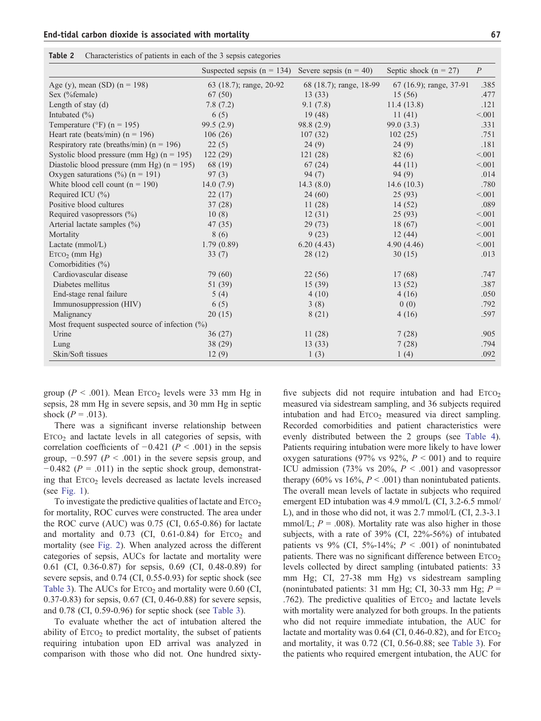<span id="page-3-0"></span>

| Table 2 | Characteristics of patients in each of the 3 sepsis categories |  |  |  |  |  |
|---------|----------------------------------------------------------------|--|--|--|--|--|
|---------|----------------------------------------------------------------|--|--|--|--|--|

|                                                    | Suspected sepsis $(n = 134)$ | Severe sepsis $(n = 40)$ | Septic shock $(n = 27)$ | $\mathcal{P}$ |
|----------------------------------------------------|------------------------------|--------------------------|-------------------------|---------------|
| Age (y), mean (SD) $(n = 198)$                     | 63 (18.7); range, 20-92      | 68 (18.7); range, 18-99  | 67 (16.9); range, 37-91 | .385          |
| Sex (%female)                                      | 67(50)                       | 13(33)                   | 15(56)                  | .477          |
| Length of stay $(d)$                               | 7.8(7.2)                     | 9.1(7.8)                 | 11.4(13.8)              | .121          |
| Intubated $(\% )$                                  | 6(5)                         | 19(48)                   | 11(41)                  | < 0.001       |
| Temperature ( $\degree$ F) (n = 195)               | 99.5(2.9)                    | 98.8 (2.9)               | 99.0(3.3)               | .331          |
| Heart rate (beats/min) ( $n = 196$ )               | 106(26)                      | 107(32)                  | 102(25)                 | .751          |
| Respiratory rate (breaths/min) ( $n = 196$ )       | 22(5)                        | 24(9)                    | 24(9)                   | .181          |
| Systolic blood pressure (mm Hg) $(n = 195)$        | 122(29)                      | 121(28)                  | 82(6)                   | < 0.001       |
| Diastolic blood pressure (mm Hg) ( $n = 195$ )     | 68 (19)                      | 67(24)                   | 44(11)                  | < 0.001       |
| Oxygen saturations $(\%)(n = 191)$                 | 97(3)                        | 94(7)                    | 94(9)                   | .014          |
| White blood cell count $(n = 190)$                 | 14.0 $(7.9)$                 | 14.3 $(8.0)$             | 14.6 $(10.3)$           | .780          |
| Required ICU $(\% )$                               | 22(17)                       | 24(60)                   | 25(93)                  | < 0.001       |
| Positive blood cultures                            | 37(28)                       | 11(28)                   | 14(52)                  | .089          |
| Required vasopressors $(\% )$                      | 10(8)                        | 12(31)                   | 25(93)                  | < 0.01        |
| Arterial lactate samples (%)                       | 47(35)                       | 29(73)                   | 18(67)                  | < 0.001       |
| Mortality                                          | 8(6)                         | 9(23)                    | 12(44)                  | < 0.001       |
| Lactate $(mmol/L)$                                 | 1.79(0.89)                   | 6.20(4.43)               | 4.90(4.46)              | < 0.001       |
| $ETCO2$ (mm Hg)                                    | 33(7)                        | 28 (12)                  | 30(15)                  | .013          |
| Comorbidities $(\% )$                              |                              |                          |                         |               |
| Cardiovascular disease                             | 79 (60)                      | 22(56)                   | 17(68)                  | .747          |
| Diabetes mellitus                                  | 51 (39)                      | 15(39)                   | 13 (52)                 | .387          |
| End-stage renal failure                            | 5(4)                         | 4(10)                    | 4(16)                   | .050          |
| Immunosuppression (HIV)                            | 6(5)                         | 3(8)                     | 0(0)                    | .792          |
| Malignancy                                         | 20(15)                       | 8 (21)                   | 4(16)                   | .597          |
| Most frequent suspected source of infection $(\%)$ |                              |                          |                         |               |
| Urine                                              | 36(27)                       | 11(28)                   | 7(28)                   | .905          |
| Lung                                               | 38 (29)                      | 13(33)                   | 7(28)                   | .794          |
| Skin/Soft tissues                                  | 12(9)                        | 1(3)                     | 1(4)                    | .092          |

group ( $P < .001$ ). Mean ETCO<sub>2</sub> levels were 33 mm Hg in sepsis, 28 mm Hg in severe sepsis, and 30 mm Hg in septic shock ( $P = .013$ ).

There was a significant inverse relationship between  $E_{TCO<sub>2</sub>}$  and lactate levels in all categories of sepsis, with correlation coefficients of  $-0.421$  ( $P < .001$ ) in the sepsis group,  $-0.597$  ( $P < .001$ ) in the severe sepsis group, and  $-0.482$  ( $P = .011$ ) in the septic shock group, demonstrating that  $E_{TCO<sub>2</sub>}$  levels decreased as lactate levels increased (see [Fig. 1](#page-4-0)).

To investigate the predictive qualities of lactate and ETCO<sub>2</sub> for mortality, ROC curves were constructed. The area under the ROC curve (AUC) was 0.75 (CI, 0.65-0.86) for lactate and mortality and  $0.73$  (CI,  $0.61$ -0.84) for  $ETCO<sub>2</sub>$  and mortality (see [Fig. 2](#page-4-0)). When analyzed across the different categories of sepsis, AUCs for lactate and mortality were 0.61 (CI, 0.36-0.87) for sepsis, 0.69 (CI, 0.48-0.89) for severe sepsis, and  $0.74$  (CI,  $0.55$ -0.93) for septic shock (see [Table 3\)](#page-4-0). The AUCs for  $ETCO<sub>2</sub>$  and mortality were 0.60 (CI, 0.37-0.83) for sepsis, 0.67 (CI, 0.46-0.88) for severe sepsis, and 0.78 (CI, 0.59-0.96) for septic shock (see [Table 3](#page-4-0)).

To evaluate whether the act of intubation altered the ability of  $ETCO<sub>2</sub>$  to predict mortality, the subset of patients requiring intubation upon ED arrival was analyzed in comparison with those who did not. One hundred sixtyfive subjects did not require intubation and had  $E_{\text{TCO}_2}$ measured via sidestream sampling, and 36 subjects required intubation and had  $ETCO<sub>2</sub>$  measured via direct sampling. Recorded comorbidities and patient characteristics were evenly distributed between the 2 groups (see [Table 4](#page-5-0)). Patients requiring intubation were more likely to have lower oxygen saturations (97% vs 92%,  $P < 001$ ) and to require ICU admission (73% vs 20%,  $P < .001$ ) and vasopressor therapy (60% vs 16%,  $P < .001$ ) than nonintubated patients. The overall mean levels of lactate in subjects who required emergent ED intubation was 4.9 mmol/L (CI, 3.2-6.5 mmol/ L), and in those who did not, it was 2.7 mmol/L (CI, 2.3-3.1 mmol/L;  $P = .008$ ). Mortality rate was also higher in those subjects, with a rate of 39% (CI, 22%-56%) of intubated patients vs 9% (CI, 5%-14%;  $P < .001$ ) of nonintubated patients. There was no significant difference between ETCO<sub>2</sub> levels collected by direct sampling (intubated patients: 33 mm Hg; CI, 27-38 mm Hg) vs sidestream sampling (nonintubated patients: 31 mm Hg; CI, 30-33 mm Hg;  $P =$ .762). The predictive qualities of  $ETCO<sub>2</sub>$  and lactate levels with mortality were analyzed for both groups. In the patients who did not require immediate intubation, the AUC for lactate and mortality was  $0.64$  (CI,  $0.46$ -0.82), and for  $E_{TCO_2}$ and mortality, it was 0.72 (CI, 0.56-0.88; see [Table 3](#page-4-0)). For the patients who required emergent intubation, the AUC for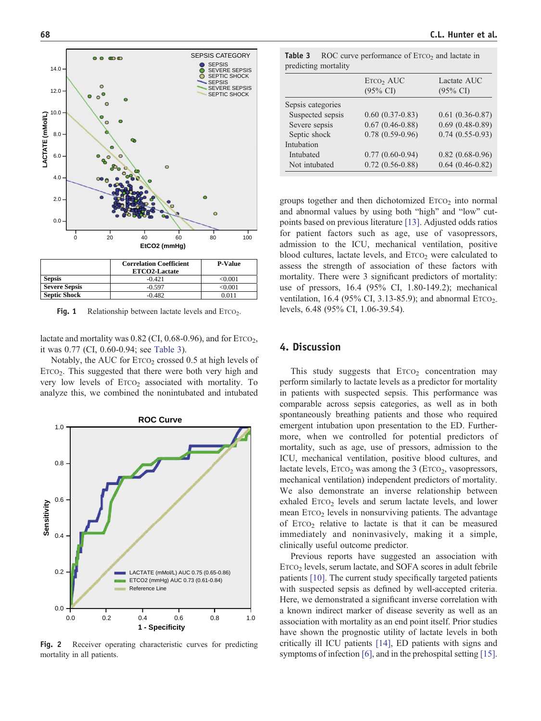<span id="page-4-0"></span>

Fig. 1 Relationship between lactate levels and ETCO<sub>2</sub>.

lactate and mortality was  $0.82$  (CI,  $0.68$ -0.96), and for ETCO<sub>2</sub>, it was 0.77 (CI, 0.60-0.94; see Table 3).

Notably, the AUC for ETCO<sub>2</sub> crossed 0.5 at high levels of ETCO2. This suggested that there were both very high and very low levels of  $E_{TCO<sub>2</sub>}$  associated with mortality. To analyze this, we combined the nonintubated and intubated



Fig. 2 Receiver operating characteristic curves for predicting mortality in all patients.

| Table 3              | ROC curve performance of ETCO <sub>2</sub> and lactate in |
|----------------------|-----------------------------------------------------------|
| predicting mortality |                                                           |

|                   | ETCO <sub>2</sub> AUC<br>$(95\% \text{ CI})$ | Lactate AUC<br>$(95\% \text{ CI})$ |
|-------------------|----------------------------------------------|------------------------------------|
| Sepsis categories |                                              |                                    |
| Suspected sepsis  | $0.60(0.37-0.83)$                            | $0.61(0.36-0.87)$                  |
| Severe sepsis     | $0.67(0.46-0.88)$                            | $0.69(0.48-0.89)$                  |
| Septic shock      | $0.78(0.59-0.96)$                            | $0.74(0.55-0.93)$                  |
| Intubation        |                                              |                                    |
| Intubated         | $0.77(0.60-0.94)$                            | $0.82(0.68-0.96)$                  |
| Not intubated     | $0.72(0.56-0.88)$                            | $0.64(0.46-0.82)$                  |

groups together and then dichotomized  $ETCO<sub>2</sub>$  into normal and abnormal values by using both "high" and "low" cutpoints based on previous literature [\[13\].](#page-7-0) Adjusted odds ratios for patient factors such as age, use of vasopressors, admission to the ICU, mechanical ventilation, positive blood cultures, lactate levels, and  $ETCO<sub>2</sub>$  were calculated to assess the strength of association of these factors with mortality. There were 3 significant predictors of mortality: use of pressors, 16.4 (95% CI, 1.80-149.2); mechanical ventilation, 16.4 (95% CI, 3.13-85.9); and abnormal  $E_{TCO_2}$ . levels, 6.48 (95% CI, 1.06-39.54).

# 4. Discussion

This study suggests that  $E_{TCO_2}$  concentration may perform similarly to lactate levels as a predictor for mortality in patients with suspected sepsis. This performance was comparable across sepsis categories, as well as in both spontaneously breathing patients and those who required emergent intubation upon presentation to the ED. Furthermore, when we controlled for potential predictors of mortality, such as age, use of pressors, admission to the ICU, mechanical ventilation, positive blood cultures, and lactate levels,  $ETCO<sub>2</sub>$  was among the 3 ( $ETCO<sub>2</sub>$ , vasopressors, mechanical ventilation) independent predictors of mortality. We also demonstrate an inverse relationship between exhaled ETCO<sub>2</sub> levels and serum lactate levels, and lower mean  $E_{TCO<sub>2</sub>}$  levels in nonsurviving patients. The advantage of  $E_{TCO<sub>2</sub>}$  relative to lactate is that it can be measured immediately and noninvasively, making it a simple, clinically useful outcome predictor.

Previous reports have suggested an association with ETCO<sub>2</sub> levels, serum lactate, and SOFA scores in adult febrile patients [\[10\].](#page-6-0) The current study specifically targeted patients with suspected sepsis as defined by well-accepted criteria. Here, we demonstrated a significant inverse correlation with a known indirect marker of disease severity as well as an association with mortality as an end point itself. Prior studies have shown the prognostic utility of lactate levels in both critically ill ICU patients [\[14\],](#page-7-0) ED patients with signs and symptoms of infection [\[6\]](#page-6-0), and in the prehospital setting [\[15\].](#page-7-0)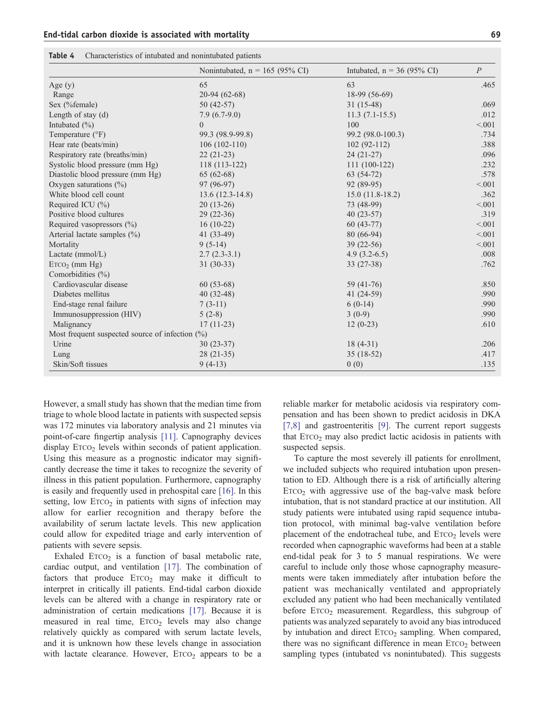|                                                    | Nonintubated, $n = 165$ (95% CI) | Intubated, $n = 36$ (95% CI) | $\overline{P}$ |  |
|----------------------------------------------------|----------------------------------|------------------------------|----------------|--|
| Age $(y)$                                          | 65                               | 63                           | .465           |  |
| Range                                              | 20-94 (62-68)                    | $18-99(56-69)$               |                |  |
| Sex (%female)                                      | $50(42-57)$                      | $31(15-48)$                  | .069           |  |
| Length of stay $(d)$                               | $7.9(6.7-9.0)$                   | $11.3(7.1-15.5)$             | .012           |  |
| Intubated $(\% )$                                  | $\Omega$                         | 100                          | < 0.001        |  |
| Temperature (°F)                                   | 99.3 (98.9-99.8)                 | 99.2 (98.0-100.3)            | .734           |  |
| Hear rate (beats/min)                              | $106(102-110)$                   | $102(92-112)$                | .388           |  |
| Respiratory rate (breaths/min)                     | $22(21-23)$                      | $24(21-27)$                  | .096           |  |
| Systolic blood pressure (mm Hg)                    | $118(113-122)$                   | $111(100-122)$               | .232           |  |
| Diastolic blood pressure (mm Hg)                   | $65(62-68)$                      | $63(54-72)$                  | .578           |  |
| Oxygen saturations $(\%)$                          | 97 (96-97)                       | 92 (89-95)                   | < 0.01         |  |
| White blood cell count                             | $13.6(12.3-14.8)$                | $15.0(11.8-18.2)$            | .362           |  |
| Required ICU $(\% )$                               | $20(13-26)$                      | 73 (48-99)                   | < 0.01         |  |
| Positive blood cultures                            | $29(22-36)$                      | $40(23-57)$                  | .319           |  |
| Required vasopressors $(\% )$                      | $16(10-22)$                      | $60(43-77)$                  | < 0.01         |  |
| Arterial lactate samples (%)                       | $41(33-49)$                      | 80 (66-94)                   | < 0.01         |  |
| Mortality                                          | $9(5-14)$                        | $39(22-56)$                  | < 0.01         |  |
| Lactate (mmol/L)                                   | $2.7(2.3-3.1)$                   | $4.9(3.2-6.5)$               | .008           |  |
| $ETCO$ (mm Hg)                                     | $31(30-33)$                      | $33(27-38)$                  | .762           |  |
| Comorbidities (%)                                  |                                  |                              |                |  |
| Cardiovascular disease                             | $60(53-68)$                      | 59 (41-76)                   | .850           |  |
| Diabetes mellitus                                  | $40(32-48)$                      | 41 (24-59)                   | .990           |  |
| End-stage renal failure                            | $7(3-11)$                        | $6(0-14)$                    | .990           |  |
| Immunosuppression (HIV)                            | $5(2-8)$                         | $3(0-9)$                     | .990           |  |
| Malignancy                                         | $17(11-23)$                      | $12(0-23)$                   | .610           |  |
| Most frequent suspected source of infection $(\%)$ |                                  |                              |                |  |
| Urine                                              | $30(23-37)$                      | $18(4-31)$                   | .206           |  |
| Lung                                               | $28(21-35)$                      | $35(18-52)$                  | .417           |  |
| Skin/Soft tissues                                  | $9(4-13)$                        | 0(0)                         | .135           |  |

<span id="page-5-0"></span>

| Characteristics of intubated and nonintubated patients |
|--------------------------------------------------------|
|                                                        |

However, a small study has shown that the median time from triage to whole blood lactate in patients with suspected sepsis was 172 minutes via laboratory analysis and 21 minutes via point-of-care fingertip analysis [\[11\]](#page-7-0). Capnography devices display  $ETCO<sub>2</sub>$  levels within seconds of patient application. Using this measure as a prognostic indicator may significantly decrease the time it takes to recognize the severity of illness in this patient population. Furthermore, capnography is easily and frequently used in prehospital care [\[16\]](#page-7-0). In this setting, low  $E_{TCO<sub>2</sub>}$  in patients with signs of infection may allow for earlier recognition and therapy before the availability of serum lactate levels. This new application could allow for expedited triage and early intervention of patients with severe sepsis.

Exhaled  $ETCO<sub>2</sub>$  is a function of basal metabolic rate, cardiac output, and ventilation [\[17\].](#page-7-0) The combination of factors that produce  $E_{TCO_2}$  may make it difficult to interpret in critically ill patients. End-tidal carbon dioxide levels can be altered with a change in respiratory rate or administration of certain medications [\[17\]](#page-7-0). Because it is measured in real time,  $E_{TCO_2}$  levels may also change relatively quickly as compared with serum lactate levels, and it is unknown how these levels change in association with lactate clearance. However,  $ETCO<sub>2</sub>$  appears to be a

reliable marker for metabolic acidosis via respiratory compensation and has been shown to predict acidosis in DKA [\[7,8\]](#page-6-0) and gastroenteritis [\[9\].](#page-6-0) The current report suggests that  $E_{TCO<sub>2</sub>}$  may also predict lactic acidosis in patients with suspected sepsis.

To capture the most severely ill patients for enrollment, we included subjects who required intubation upon presentation to ED. Although there is a risk of artificially altering  $ETCO<sub>2</sub>$  with aggressive use of the bag-valve mask before intubation, that is not standard practice at our institution. All study patients were intubated using rapid sequence intubation protocol, with minimal bag-valve ventilation before placement of the endotracheal tube, and  $ETCO<sub>2</sub>$  levels were recorded when capnographic waveforms had been at a stable end-tidal peak for 3 to 5 manual respirations. We were careful to include only those whose capnography measurements were taken immediately after intubation before the patient was mechanically ventilated and appropriately excluded any patient who had been mechanically ventilated before  $ETO<sub>2</sub>$  measurement. Regardless, this subgroup of patients was analyzed separately to avoid any bias introduced by intubation and direct  $ETCO<sub>2</sub>$  sampling. When compared, there was no significant difference in mean  $E_{TCO_2}$  between sampling types (intubated vs nonintubated). This suggests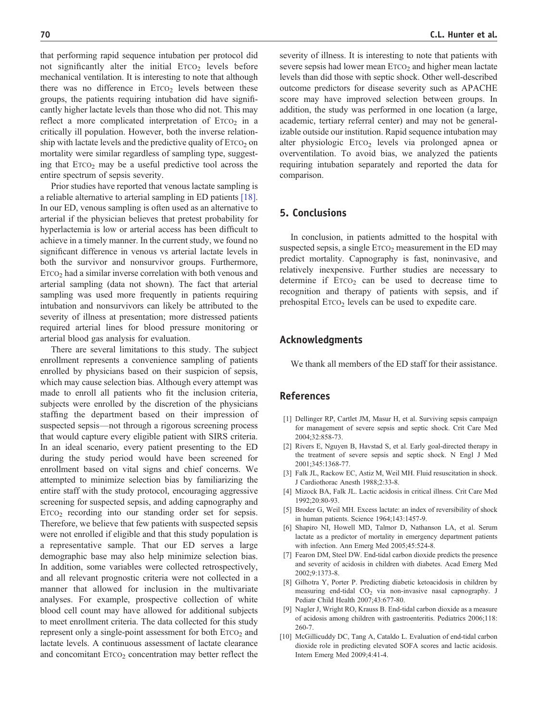<span id="page-6-0"></span>that performing rapid sequence intubation per protocol did not significantly alter the initial  $E_{TCO<sub>2</sub>}$  levels before mechanical ventilation. It is interesting to note that although there was no difference in  $E_{TCO_2}$  levels between these groups, the patients requiring intubation did have significantly higher lactate levels than those who did not. This may reflect a more complicated interpretation of  $ETCO<sub>2</sub>$  in a critically ill population. However, both the inverse relationship with lactate levels and the predictive quality of  $ETCO<sub>2</sub>$  on mortality were similar regardless of sampling type, suggesting that  $ETCO<sub>2</sub>$  may be a useful predictive tool across the entire spectrum of sepsis severity.

Prior studies have reported that venous lactate sampling is a reliable alternative to arterial sampling in ED patients [\[18\].](#page-7-0) In our ED, venous sampling is often used as an alternative to arterial if the physician believes that pretest probability for hyperlactemia is low or arterial access has been difficult to achieve in a timely manner. In the current study, we found no significant difference in venous vs arterial lactate levels in both the survivor and nonsurvivor groups. Furthermore,  $E_{\text{TCO}_2}$  had a similar inverse correlation with both venous and arterial sampling (data not shown). The fact that arterial sampling was used more frequently in patients requiring intubation and nonsurvivors can likely be attributed to the severity of illness at presentation; more distressed patients required arterial lines for blood pressure monitoring or arterial blood gas analysis for evaluation.

There are several limitations to this study. The subject enrollment represents a convenience sampling of patients enrolled by physicians based on their suspicion of sepsis, which may cause selection bias. Although every attempt was made to enroll all patients who fit the inclusion criteria, subjects were enrolled by the discretion of the physicians staffing the department based on their impression of suspected sepsis—not through a rigorous screening process that would capture every eligible patient with SIRS criteria. In an ideal scenario, every patient presenting to the ED during the study period would have been screened for enrollment based on vital signs and chief concerns. We attempted to minimize selection bias by familiarizing the entire staff with the study protocol, encouraging aggressive screening for suspected sepsis, and adding capnography and  $ETCO<sub>2</sub>$  recording into our standing order set for sepsis. Therefore, we believe that few patients with suspected sepsis were not enrolled if eligible and that this study population is a representative sample. That our ED serves a large demographic base may also help minimize selection bias. In addition, some variables were collected retrospectively, and all relevant prognostic criteria were not collected in a manner that allowed for inclusion in the multivariate analyses. For example, prospective collection of white blood cell count may have allowed for additional subjects to meet enrollment criteria. The data collected for this study represent only a single-point assessment for both  $ETCO<sub>2</sub>$  and lactate levels. A continuous assessment of lactate clearance and concomitant ETCO<sub>2</sub> concentration may better reflect the

severity of illness. It is interesting to note that patients with severe sepsis had lower mean  $E<sub>TCO<sub>2</sub></sub>$  and higher mean lactate levels than did those with septic shock. Other well-described outcome predictors for disease severity such as APACHE score may have improved selection between groups. In addition, the study was performed in one location (a large, academic, tertiary referral center) and may not be generalizable outside our institution. Rapid sequence intubation may alter physiologic  $ETCO<sub>2</sub>$  levels via prolonged apnea or overventilation. To avoid bias, we analyzed the patients requiring intubation separately and reported the data for comparison.

## 5. Conclusions

In conclusion, in patients admitted to the hospital with suspected sepsis, a single ETCO<sub>2</sub> measurement in the ED may predict mortality. Capnography is fast, noninvasive, and relatively inexpensive. Further studies are necessary to determine if  $ETCO<sub>2</sub>$  can be used to decrease time to recognition and therapy of patients with sepsis, and if prehospital  $E<sub>T</sub>CO<sub>2</sub>$  levels can be used to expedite care.

# Acknowledgments

We thank all members of the ED staff for their assistance.

## References

- [1] Dellinger RP, Cartlet JM, Masur H, et al. Surviving sepsis campaign for management of severe sepsis and septic shock. Crit Care Med 2004;32:858-73.
- [2] Rivers E, Nguyen B, Havstad S, et al. Early goal-directed therapy in the treatment of severe sepsis and septic shock. N Engl J Med 2001;345:1368-77.
- [3] Falk JL, Rackow EC, Astiz M, Weil MH. Fluid resuscitation in shock. J Cardiothorac Anesth 1988;2:33-8.
- [4] Mizock BA, Falk JL. Lactic acidosis in critical illness. Crit Care Med 1992;20:80-93.
- [5] Broder G, Weil MH. Excess lactate: an index of reversibility of shock in human patients. Science 1964;143:1457-9.
- [6] Shapiro NI, Howell MD, Talmor D, Nathanson LA, et al. Serum lactate as a predictor of mortality in emergency department patients with infection. Ann Emerg Med 2005;45:524-8.
- [7] Fearon DM, Steel DW. End-tidal carbon dioxide predicts the presence and severity of acidosis in children with diabetes. Acad Emerg Med 2002;9:1373-8.
- [8] Gilhotra Y, Porter P. Predicting diabetic ketoacidosis in children by measuring end-tidal  $CO<sub>2</sub>$  via non-invasive nasal capnography. J Pediatr Child Health 2007;43:677-80.
- [9] Nagler J, Wright RO, Krauss B. End-tidal carbon dioxide as a measure of acidosis among children with gastroenteritis. Pediatrics 2006;118: 260-7.
- [10] McGillicuddy DC, Tang A, Cataldo L. Evaluation of end-tidal carbon dioxide role in predicting elevated SOFA scores and lactic acidosis. Intern Emerg Med 2009;4:41-4.